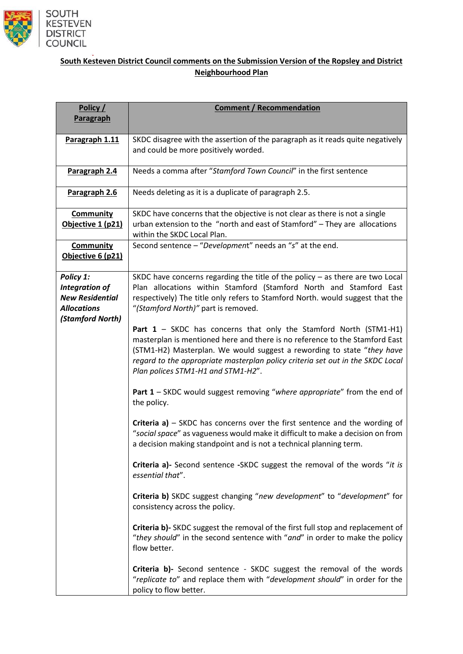

## **South Kesteven District Council comments on the Submission Version of the Ropsley and District Neighbourhood Plan**

| Policy /<br>Paragraph                                                                                  | <b>Comment / Recommendation</b>                                                                                                                                                                                                                                                                                                                      |
|--------------------------------------------------------------------------------------------------------|------------------------------------------------------------------------------------------------------------------------------------------------------------------------------------------------------------------------------------------------------------------------------------------------------------------------------------------------------|
| Paragraph 1.11                                                                                         | SKDC disagree with the assertion of the paragraph as it reads quite negatively<br>and could be more positively worded.                                                                                                                                                                                                                               |
| Paragraph 2.4                                                                                          | Needs a comma after "Stamford Town Council" in the first sentence                                                                                                                                                                                                                                                                                    |
| Paragraph 2.6                                                                                          | Needs deleting as it is a duplicate of paragraph 2.5.                                                                                                                                                                                                                                                                                                |
| <b>Community</b><br>Objective 1 (p21)                                                                  | SKDC have concerns that the objective is not clear as there is not a single<br>urban extension to the "north and east of Stamford" - They are allocations<br>within the SKDC Local Plan.                                                                                                                                                             |
| <b>Community</b><br>Objective 6 (p21)                                                                  | Second sentence - "Development" needs an "s" at the end.                                                                                                                                                                                                                                                                                             |
| Policy 1:<br><b>Integration of</b><br><b>New Residential</b><br><b>Allocations</b><br>(Stamford North) | SKDC have concerns regarding the title of the policy $-$ as there are two Local<br>Plan allocations within Stamford (Stamford North and Stamford East<br>respectively) The title only refers to Stamford North. would suggest that the<br>"(Stamford North)" part is removed.                                                                        |
|                                                                                                        | Part $1 -$ SKDC has concerns that only the Stamford North (STM1-H1)<br>masterplan is mentioned here and there is no reference to the Stamford East<br>(STM1-H2) Masterplan. We would suggest a rewording to state "they have<br>regard to the appropriate masterplan policy criteria set out in the SKDC Local<br>Plan polices STM1-H1 and STM1-H2". |
|                                                                                                        | Part 1 - SKDC would suggest removing "where appropriate" from the end of<br>the policy.                                                                                                                                                                                                                                                              |
|                                                                                                        | <b>Criteria a)</b> $-$ SKDC has concerns over the first sentence and the wording of<br>"social space" as vagueness would make it difficult to make a decision on from<br>a decision making standpoint and is not a technical planning term.                                                                                                          |
|                                                                                                        | Criteria a)- Second sentence -SKDC suggest the removal of the words "it is<br>essential that".                                                                                                                                                                                                                                                       |
|                                                                                                        | Criteria b) SKDC suggest changing "new development" to "development" for<br>consistency across the policy.                                                                                                                                                                                                                                           |
|                                                                                                        | Criteria b)- SKDC suggest the removal of the first full stop and replacement of<br>"they should" in the second sentence with "and" in order to make the policy<br>flow better.                                                                                                                                                                       |
|                                                                                                        | Criteria b)- Second sentence - SKDC suggest the removal of the words<br>"replicate to" and replace them with "development should" in order for the<br>policy to flow better.                                                                                                                                                                         |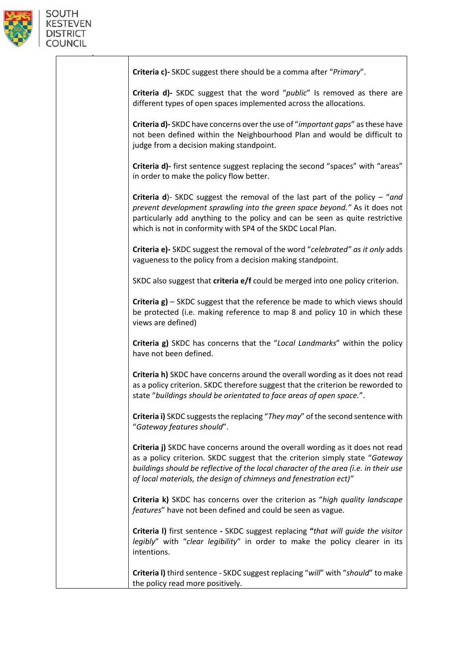

| Criteria c)- SKDC suggest there should be a comma after "Primary".                                                                                                                                                                                                                                                         |
|----------------------------------------------------------------------------------------------------------------------------------------------------------------------------------------------------------------------------------------------------------------------------------------------------------------------------|
| Criteria d)- SKDC suggest that the word "public" Is removed as there are<br>different types of open spaces implemented across the allocations.                                                                                                                                                                             |
| Criteria d)-SKDC have concerns over the use of "important gaps" as these have<br>not been defined within the Neighbourhood Plan and would be difficult to<br>judge from a decision making standpoint.                                                                                                                      |
| Criteria d)- first sentence suggest replacing the second "spaces" with "areas"<br>in order to make the policy flow better.                                                                                                                                                                                                 |
| <b>Criteria d</b> )- SKDC suggest the removal of the last part of the policy $-$ "and<br>prevent development sprawling into the green space beyond." As it does not<br>particularly add anything to the policy and can be seen as quite restrictive<br>which is not in conformity with SP4 of the SKDC Local Plan.         |
| Criteria e)- SKDC suggest the removal of the word "celebrated" as it only adds<br>vagueness to the policy from a decision making standpoint.                                                                                                                                                                               |
| SKDC also suggest that criteria e/f could be merged into one policy criterion.                                                                                                                                                                                                                                             |
| Criteria g) - SKDC suggest that the reference be made to which views should<br>be protected (i.e. making reference to map 8 and policy 10 in which these<br>views are defined)                                                                                                                                             |
| Criteria g) SKDC has concerns that the "Local Landmarks" within the policy<br>have not been defined.                                                                                                                                                                                                                       |
| Criteria h) SKDC have concerns around the overall wording as it does not read<br>as a policy criterion. SKDC therefore suggest that the criterion be reworded to<br>state "buildings should be orientated to face areas of open space.".                                                                                   |
| Criteria i) SKDC suggests the replacing "They may" of the second sentence with<br>"Gateway features should".                                                                                                                                                                                                               |
| Criteria j) SKDC have concerns around the overall wording as it does not read<br>as a policy criterion. SKDC suggest that the criterion simply state "Gateway<br>buildings should be reflective of the local character of the area (i.e. in their use<br>of local materials, the design of chimneys and fenestration ect)" |
| Criteria k) SKDC has concerns over the criterion as "high quality landscape<br>features" have not been defined and could be seen as vague.                                                                                                                                                                                 |
| Criteria I) first sentence - SKDC suggest replacing "that will guide the visitor<br>legibly" with "clear legibility" in order to make the policy clearer in its<br>intentions.                                                                                                                                             |
| Criteria I) third sentence - SKDC suggest replacing "will" with "should" to make<br>the nolicy read more positively                                                                                                                                                                                                        |

 $\overline{\phantom{a}}$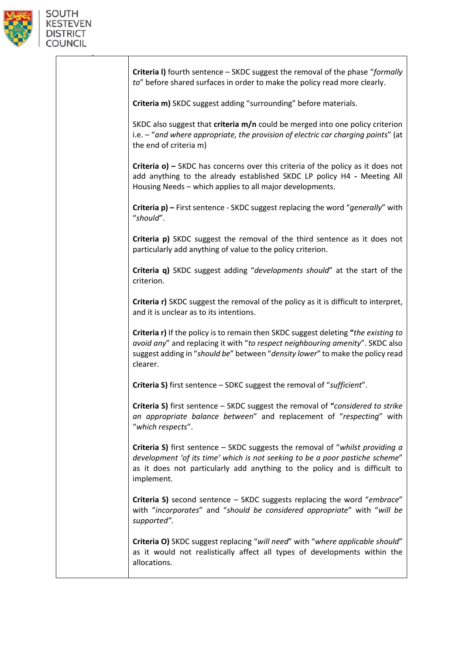

| <b>Criteria I)</b> fourth sentence – SKDC suggest the removal of the phase "formally<br>to" before shared surfaces in order to make the policy read more clearly.                                                                                                |
|------------------------------------------------------------------------------------------------------------------------------------------------------------------------------------------------------------------------------------------------------------------|
| Criteria m) SKDC suggest adding "surrounding" before materials.                                                                                                                                                                                                  |
| SKDC also suggest that criteria $m/n$ could be merged into one policy criterion<br>i.e. - "and where appropriate, the provision of electric car charging points" (at<br>the end of criteria m)                                                                   |
| <b>Criteria o)</b> $-$ SKDC has concerns over this criteria of the policy as it does not<br>add anything to the already established SKDC LP policy H4 - Meeting All<br>Housing Needs - which applies to all major developments.                                  |
| Criteria p) - First sentence - SKDC suggest replacing the word "generally" with<br>"should".                                                                                                                                                                     |
| Criteria p) SKDC suggest the removal of the third sentence as it does not<br>particularly add anything of value to the policy criterion.                                                                                                                         |
| Criteria q) SKDC suggest adding "developments should" at the start of the<br>criterion.                                                                                                                                                                          |
| <b>Criteria r)</b> SKDC suggest the removal of the policy as it is difficult to interpret,<br>and it is unclear as to its intentions.                                                                                                                            |
| Criteria r) If the policy is to remain then SKDC suggest deleting "the existing to<br>avoid any" and replacing it with "to respect neighbouring amenity". SKDC also<br>suggest adding in "should be" between "density lower" to make the policy read<br>clearer. |
| Criteria S) first sentence - SDKC suggest the removal of "sufficient".                                                                                                                                                                                           |
| Criteria S) first sentence - SKDC suggest the removal of "considered to strike<br>an appropriate balance between" and replacement of "respecting" with<br>"which respects".                                                                                      |
| Criteria S) first sentence - SKDC suggests the removal of "whilst providing a<br>development 'of its time' which is not seeking to be a poor pastiche scheme"<br>as it does not particularly add anything to the policy and is difficult to<br>implement.        |
| Criteria S) second sentence - SKDC suggests replacing the word "embrace"<br>with "incorporates" and "should be considered appropriate" with "will be<br>supported".                                                                                              |
| Criteria O) SKDC suggest replacing "will need" with "where applicable should"<br>as it would not realistically affect all types of developments within the<br>allocations.                                                                                       |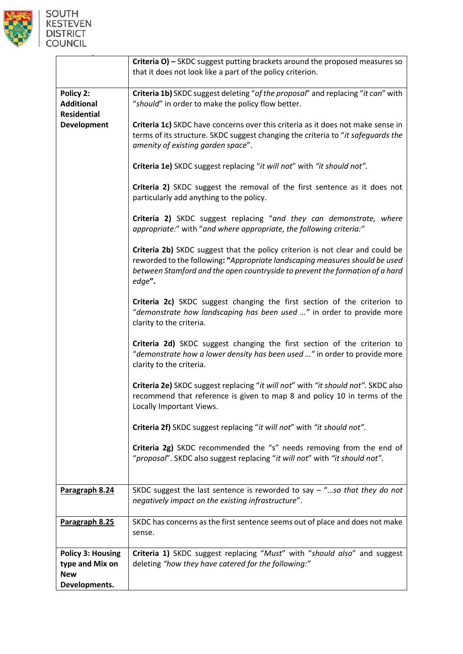

|                                                      | Criteria O) - SKDC suggest putting brackets around the proposed measures so<br>that it does not look like a part of the policy criterion.                                                                                                              |
|------------------------------------------------------|--------------------------------------------------------------------------------------------------------------------------------------------------------------------------------------------------------------------------------------------------------|
|                                                      |                                                                                                                                                                                                                                                        |
| Policy 2:<br><b>Additional</b><br><b>Residential</b> | Criteria 1b) SKDC suggest deleting "of the proposal" and replacing "it can" with<br>"should" in order to make the policy flow better.                                                                                                                  |
| <b>Development</b>                                   | Criteria 1c) SKDC have concerns over this criteria as it does not make sense in<br>terms of its structure. SKDC suggest changing the criteria to "it safeguards the<br>amenity of existing garden space".                                              |
|                                                      | Criteria 1e) SKDC suggest replacing "it will not" with "it should not".                                                                                                                                                                                |
|                                                      | Criteria 2) SKDC suggest the removal of the first sentence as it does not<br>particularly add anything to the policy.                                                                                                                                  |
|                                                      | Criteria 2) SKDC suggest replacing "and they can demonstrate, where<br>appropriate:" with "and where appropriate, the following criteria:"                                                                                                             |
|                                                      | Criteria 2b) SKDC suggest that the policy criterion is not clear and could be<br>reworded to the following: "Appropriate landscaping measures should be used<br>between Stamford and the open countryside to prevent the formation of a hard<br>edge". |
|                                                      | Criteria 2c) SKDC suggest changing the first section of the criterion to<br>"demonstrate how landscaping has been used " in order to provide more<br>clarity to the criteria.                                                                          |
|                                                      | Criteria 2d) SKDC suggest changing the first section of the criterion to<br>"demonstrate how a lower density has been used " in order to provide more<br>clarity to the criteria.                                                                      |
|                                                      | Criteria 2e) SKDC suggest replacing "it will not" with "it should not". SKDC also<br>recommend that reference is given to map 8 and policy 10 in terms of the<br>Locally Important Views.                                                              |
|                                                      | Criteria 2f) SKDC suggest replacing "it will not" with "it should not".                                                                                                                                                                                |
|                                                      | Criteria 2g) SKDC recommended the "s" needs removing from the end of<br>"proposal". SKDC also suggest replacing "it will not" with "it should not".                                                                                                    |
| Paragraph 8.24                                       | SKDC suggest the last sentence is reworded to say $-$ "so that they do not<br>negatively impact on the existing infrastructure".                                                                                                                       |
| Paragraph 8.25                                       | SKDC has concerns as the first sentence seems out of place and does not make<br>sense.                                                                                                                                                                 |
| <b>Policy 3: Housing</b>                             | Criteria 1) SKDC suggest replacing "Must" with "should also" and suggest                                                                                                                                                                               |
| type and Mix on                                      | deleting "how they have catered for the following:"                                                                                                                                                                                                    |
| <b>New</b>                                           |                                                                                                                                                                                                                                                        |
| Developments.                                        |                                                                                                                                                                                                                                                        |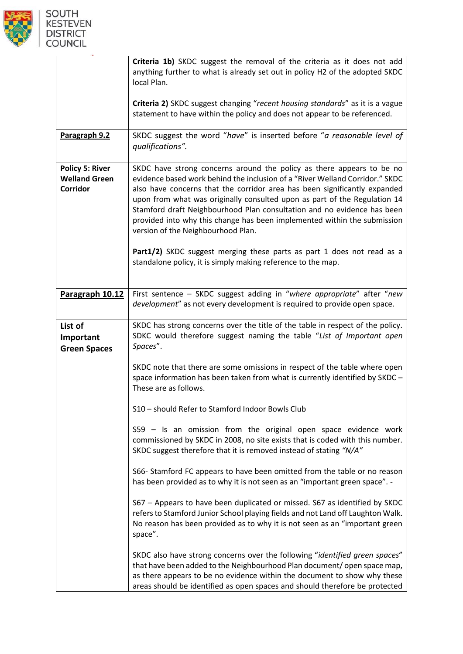

|                                                            | Criteria 1b) SKDC suggest the removal of the criteria as it does not add<br>anything further to what is already set out in policy H2 of the adopted SKDC<br>local Plan.                                                                                                                                                                                                                                                                                                                                      |
|------------------------------------------------------------|--------------------------------------------------------------------------------------------------------------------------------------------------------------------------------------------------------------------------------------------------------------------------------------------------------------------------------------------------------------------------------------------------------------------------------------------------------------------------------------------------------------|
|                                                            | Criteria 2) SKDC suggest changing "recent housing standards" as it is a vague<br>statement to have within the policy and does not appear to be referenced.                                                                                                                                                                                                                                                                                                                                                   |
| Paragraph 9.2                                              | SKDC suggest the word "have" is inserted before "a reasonable level of<br>qualifications".                                                                                                                                                                                                                                                                                                                                                                                                                   |
| <b>Policy 5: River</b><br><b>Welland Green</b><br>Corridor | SKDC have strong concerns around the policy as there appears to be no<br>evidence based work behind the inclusion of a "River Welland Corridor." SKDC<br>also have concerns that the corridor area has been significantly expanded<br>upon from what was originally consulted upon as part of the Regulation 14<br>Stamford draft Neighbourhood Plan consultation and no evidence has been<br>provided into why this change has been implemented within the submission<br>version of the Neighbourhood Plan. |
|                                                            | Part1/2) SKDC suggest merging these parts as part 1 does not read as a<br>standalone policy, it is simply making reference to the map.                                                                                                                                                                                                                                                                                                                                                                       |
| Paragraph 10.12                                            | First sentence - SKDC suggest adding in "where appropriate" after "new<br>development" as not every development is required to provide open space.                                                                                                                                                                                                                                                                                                                                                           |
| List of<br>Important<br><b>Green Spaces</b>                | SKDC has strong concerns over the title of the table in respect of the policy.<br>SDKC would therefore suggest naming the table "List of Important open<br>Spaces".                                                                                                                                                                                                                                                                                                                                          |
|                                                            | SKDC note that there are some omissions in respect of the table where open<br>space information has been taken from what is currently identified by SKDC -<br>These are as follows.                                                                                                                                                                                                                                                                                                                          |
|                                                            | S10 - should Refer to Stamford Indoor Bowls Club                                                                                                                                                                                                                                                                                                                                                                                                                                                             |
|                                                            | S59 - Is an omission from the original open space evidence work<br>commissioned by SKDC in 2008, no site exists that is coded with this number.<br>SKDC suggest therefore that it is removed instead of stating "N/A"                                                                                                                                                                                                                                                                                        |
|                                                            | S66- Stamford FC appears to have been omitted from the table or no reason<br>has been provided as to why it is not seen as an "important green space". -                                                                                                                                                                                                                                                                                                                                                     |
|                                                            | S67 - Appears to have been duplicated or missed. S67 as identified by SKDC<br>refers to Stamford Junior School playing fields and not Land off Laughton Walk.<br>No reason has been provided as to why it is not seen as an "important green<br>space".                                                                                                                                                                                                                                                      |
|                                                            | SKDC also have strong concerns over the following "identified green spaces"<br>that have been added to the Neighbourhood Plan document/ open space map,<br>as there appears to be no evidence within the document to show why these<br>areas should be identified as open spaces and should therefore be protected                                                                                                                                                                                           |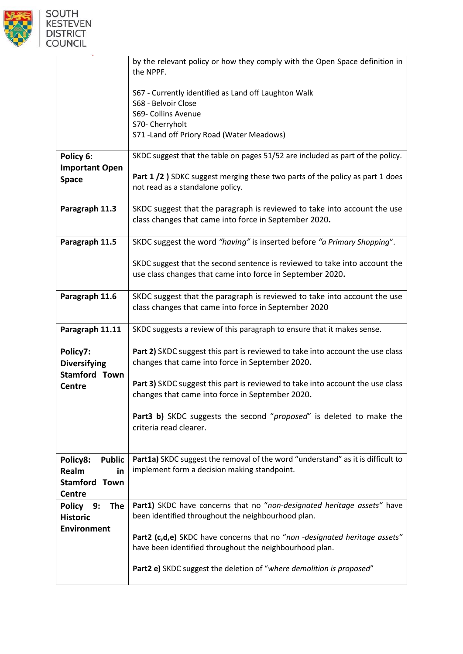

|                                       | by the relevant policy or how they comply with the Open Space definition in<br>the NPPF.                                                |
|---------------------------------------|-----------------------------------------------------------------------------------------------------------------------------------------|
|                                       | S67 - Currently identified as Land off Laughton Walk<br>S68 - Belvoir Close                                                             |
|                                       | S69- Collins Avenue                                                                                                                     |
|                                       | S70- Cherryholt                                                                                                                         |
|                                       | S71 - Land off Priory Road (Water Meadows)                                                                                              |
| Policy 6:                             | SKDC suggest that the table on pages 51/52 are included as part of the policy.                                                          |
| <b>Important Open</b>                 |                                                                                                                                         |
| <b>Space</b>                          | Part 1 /2 ) SDKC suggest merging these two parts of the policy as part 1 does<br>not read as a standalone policy.                       |
| Paragraph 11.3                        | SKDC suggest that the paragraph is reviewed to take into account the use<br>class changes that came into force in September 2020.       |
| Paragraph 11.5                        | SKDC suggest the word "having" is inserted before "a Primary Shopping".                                                                 |
|                                       | SKDC suggest that the second sentence is reviewed to take into account the<br>use class changes that came into force in September 2020. |
| Paragraph 11.6                        | SKDC suggest that the paragraph is reviewed to take into account the use<br>class changes that came into force in September 2020        |
| Paragraph 11.11                       | SKDC suggests a review of this paragraph to ensure that it makes sense.                                                                 |
| Policy7:<br><b>Diversifying</b>       | Part 2) SKDC suggest this part is reviewed to take into account the use class<br>changes that came into force in September 2020.        |
| <b>Stamford Town</b><br><b>Centre</b> | Part 3) SKDC suggest this part is reviewed to take into account the use class<br>changes that came into force in September 2020.        |
|                                       | Part3 b) SKDC suggests the second "proposed" is deleted to make the<br>criteria read clearer.                                           |
| Policy8:<br><b>Public</b>             | Part1a) SKDC suggest the removal of the word "understand" as it is difficult to                                                         |
| Realm<br>in                           | implement form a decision making standpoint.                                                                                            |
| <b>Stamford Town</b>                  |                                                                                                                                         |
| Centre                                |                                                                                                                                         |
| The<br>Policy 9:                      | Part1) SKDC have concerns that no "non-designated heritage assets" have                                                                 |
| <b>Historic</b>                       | been identified throughout the neighbourhood plan.                                                                                      |
| <b>Environment</b>                    |                                                                                                                                         |
|                                       | Part2 (c,d,e) SKDC have concerns that no "non -designated heritage assets"<br>have been identified throughout the neighbourhood plan.   |
|                                       | Part2 e) SKDC suggest the deletion of "where demolition is proposed"                                                                    |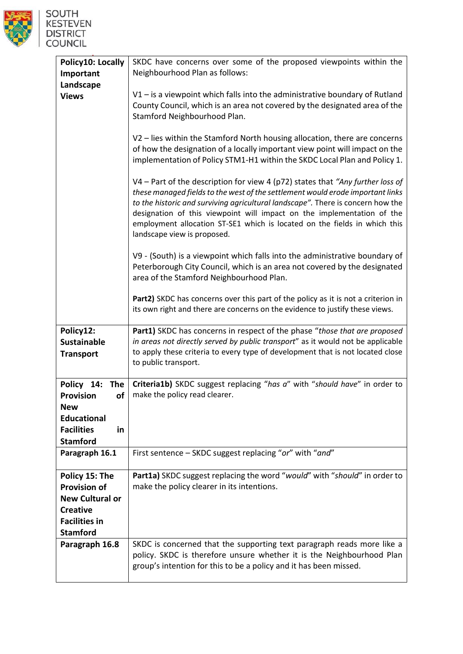

| Policy10: Locally<br>Important<br>Landscape                                                                                   | SKDC have concerns over some of the proposed viewpoints within the<br>Neighbourhood Plan as follows:                                                                                                                                                                                                                                                                                                                                      |
|-------------------------------------------------------------------------------------------------------------------------------|-------------------------------------------------------------------------------------------------------------------------------------------------------------------------------------------------------------------------------------------------------------------------------------------------------------------------------------------------------------------------------------------------------------------------------------------|
| <b>Views</b>                                                                                                                  | $V1$ – is a viewpoint which falls into the administrative boundary of Rutland<br>County Council, which is an area not covered by the designated area of the<br>Stamford Neighbourhood Plan.                                                                                                                                                                                                                                               |
|                                                                                                                               | V2 - lies within the Stamford North housing allocation, there are concerns<br>of how the designation of a locally important view point will impact on the<br>implementation of Policy STM1-H1 within the SKDC Local Plan and Policy 1.                                                                                                                                                                                                    |
|                                                                                                                               | V4 - Part of the description for view 4 (p72) states that "Any further loss of<br>these managed fields to the west of the settlement would erode important links<br>to the historic and surviving agricultural landscape". There is concern how the<br>designation of this viewpoint will impact on the implementation of the<br>employment allocation ST-SE1 which is located on the fields in which this<br>landscape view is proposed. |
|                                                                                                                               | V9 - (South) is a viewpoint which falls into the administrative boundary of<br>Peterborough City Council, which is an area not covered by the designated<br>area of the Stamford Neighbourhood Plan.                                                                                                                                                                                                                                      |
|                                                                                                                               | Part2) SKDC has concerns over this part of the policy as it is not a criterion in<br>its own right and there are concerns on the evidence to justify these views.                                                                                                                                                                                                                                                                         |
| Policy12:<br><b>Sustainable</b><br><b>Transport</b>                                                                           | Part1) SKDC has concerns in respect of the phase "those that are proposed<br>in areas not directly served by public transport" as it would not be applicable<br>to apply these criteria to every type of development that is not located close<br>to public transport.                                                                                                                                                                    |
| Policy 14:<br>The<br><b>Provision</b><br>οf<br><b>New</b>                                                                     | Criteria1b) SKDC suggest replacing "has a" with "should have" in order to<br>make the policy read clearer.                                                                                                                                                                                                                                                                                                                                |
| <b>Educational</b><br><b>Facilities</b><br>in<br><b>Stamford</b>                                                              |                                                                                                                                                                                                                                                                                                                                                                                                                                           |
| Paragraph 16.1                                                                                                                | First sentence - SKDC suggest replacing "or" with "and"                                                                                                                                                                                                                                                                                                                                                                                   |
| Policy 15: The<br><b>Provision of</b><br><b>New Cultural or</b><br><b>Creative</b><br><b>Facilities in</b><br><b>Stamford</b> | Part1a) SKDC suggest replacing the word "would" with "should" in order to<br>make the policy clearer in its intentions.                                                                                                                                                                                                                                                                                                                   |
| Paragraph 16.8                                                                                                                | SKDC is concerned that the supporting text paragraph reads more like a<br>policy. SKDC is therefore unsure whether it is the Neighbourhood Plan<br>group's intention for this to be a policy and it has been missed.                                                                                                                                                                                                                      |